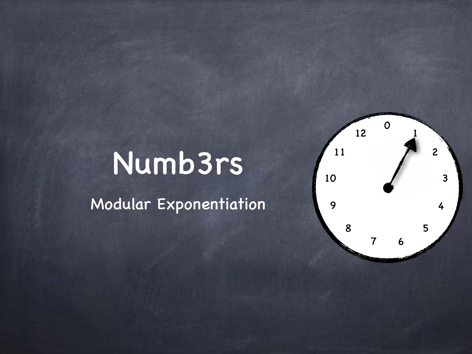## Numb3rs

Modular Exponentiation

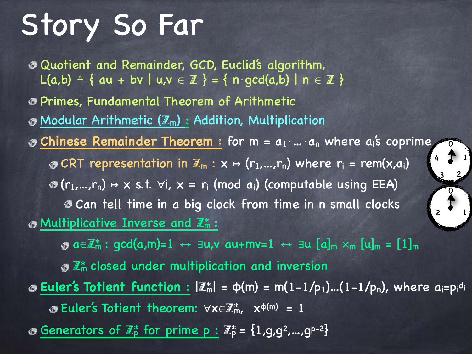# Story So Far

Quotient and Remainder, GCD, Euclid's algorithm, L(a,b)  $\triangleq$  { au + bv | u,v  $\in \mathbb{Z}$  } = { n · gcd(a,b) | n  $\in \mathbb{Z}$  } Primes, Fundamental Theorem of Arithmetic  $\odot$  Modular Arithmetic  $(\mathbb{Z}_m)$ : Addition, Multiplication **Chinese Remainder Theorem** : for m = a<sub>1</sub>⋅…⋅a<sub>n</sub> where a<sub>i</sub>'s coprime G CRT representation in  $\mathbb{Z}_m : x \mapsto (r_1,...,r_n)$  where  $r_i = \text{rem}(x,a_i)$  $\mathcal{F}(r_1,...,r_n) \mapsto x$  s.t.  $\forall i, x \equiv r_i \pmod{a_i}$  (computable using EEA) **Ean tell time in a big clock from time in n small clocks**  $\odot$  Multiplicative Inverse and  $\mathbb{Z}_m^*$ :  $\alpha \in \mathbb{Z}_{m}^{*}: \text{gcd}(a,m)=1 \leftrightarrow \exists u,v \text{ a}u+mv=1 \leftrightarrow \exists u \text{ [a]}_{m} \times_{m} [u]_{m} = [1]_{m}$  $\mathcal{L}^*$  closed under multiplication and inversion **<u>Euler's Totient function :</u> |Z**\*| = φ(m) = m(1-1/p<sub>1</sub>)...(1-1/p<sub>n</sub>), where a<sub>i</sub>=p<sub>i</sub>di Euler's Totient theorem: ∀x∈Z\*m, x<sup>φ</sup>(m) = 1 Generators of  $\mathbb{Z}_p^*$  for prime  $p : \mathbb{Z}_p^* = \{1, g, g^2, ..., g^{p-2}\}\$ 1  $3^{2}$ 4  $\overline{O}$ 2 1 0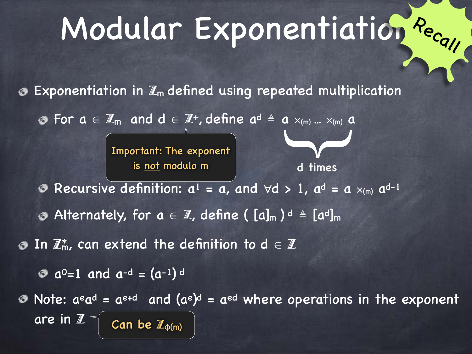# Modular Exponentiation <sup>Rec</sup>all

Exponentiation in  $\mathbb{Z}_m$  defined using repeated multiplication

For  $a \in \mathbb{Z}_m$  and  $d \in \mathbb{Z}^+$ , define  $a^d \triangleq a \times_{(m)} ... \times_{(m)} a$ 

Important: The exponent is <u>not</u> modulo m d times

 $\blacktriangleright$ 

Recursive definition:  $a^1 = a$ , and  $\forall d > 1$ ,  $a^d = a \times_{(m)} a^{d-1}$ ◉

Alternately, for  $a\, \in\, \mathbb{Z}$ , define (  $[a]_m$  )  $^d\, \triangleq\, [a^d]_m$ 

 $\bullet$  In  $\mathbb{Z}_m^*$ , can extend the definition to  $d \in \mathbb{Z}^m$ 

 $a^0$ =1 and  $a^{-d}$  =  $(a^{-1})^d$ 

Note:  $a^{\text{e}}a^{\text{d}} = a^{\text{e+d}}$  and  $(a^{\text{e}})^{\text{d}} = a^{\text{ed}}$  where operations in the exponent are in Z Can be  $\mathbb{Z}_{\Phi(m)}$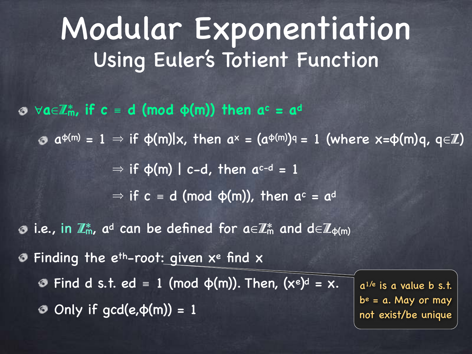∀**a**∈Z\***m, if c** ≡ **d (mod φ(m)) then ac = a<sup>d</sup>**

 $a^{\varphi(m)} = 1 \Rightarrow \text{if } \varphi(m)|x, \text{ then } a^x = (a^{\varphi(m)})^q = 1 \text{ (where } x = \varphi(m)q, q \in \mathbb{Z}\text{)}$ 

 $\Rightarrow$  if  $\phi(m)$  | c-d, then a<sup>c-d</sup> = 1

 $\Rightarrow$  if  $c = d$  (mod  $\phi(m)$ ), then  $a^c = a^d$ 

**3** i.e., in  $\mathbb{Z}_m^*$ , ad can be defined for  $a \in \mathbb{Z}_m^*$  and  $d \in \mathbb{Z}_{\phi(m)}$ 

**The eth-root: given xe find x** 

Find d s.t. ed = 1 (mod  $\varphi(m)$ ). Then, (xe)<sup>d</sup> = x.

 $\odot$  Only if gcd(e, $\phi(m)$ ) = 1

 $a^{1/e}$  is a value b s.t.  $b<sup>e</sup> = a$ . May or may not exist/be unique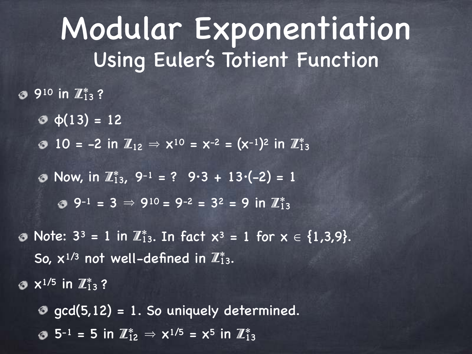910 in  $\mathbb{Z}_{13}^*$  ?

- $\Phi(13) = 12$
- 10 = -2 in  $\mathbb{Z}_{12} \Rightarrow x^{10} = x^{-2} = (x^{-1})^2$  in  $\mathbb{Z}_{13}^*$

Now, in  $\mathbb{Z}_{13}^*$ , 9-1 = ? 9.3 + 13. (-2) = 1

 $9^{-1} = 3 \Rightarrow 9^{10} = 9^{-2} = 3^2 = 9$  in  $\mathbb{Z}_{13}^*$ 

Note:  $3^3 = 1$  in  $\mathbb{Z}_{13}^*$ . In fact  $x^3 = 1$  for  $x \in \{1,3,9\}$ . So,  $x^{1/3}$  not well-defined in  $\mathbb{Z}_{13}^*$ .

 $x^{1/5}$  in  $\mathbb{Z}_{13}^*$  ?

 $\odot$  gcd(5,12) = 1. So uniquely determined.

 $5^{-1}$  = 5 in  $\mathbb{Z}_{12}^* \Rightarrow x^{1/5} = x^5$  in  $\mathbb{Z}_{13}^*$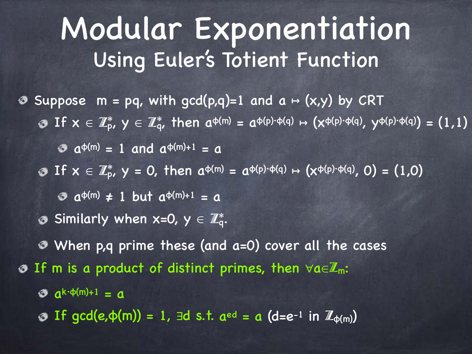- Suppose  $m = pq$ , with gcd(p,q)=1 and  $a \mapsto (x,y)$  by CRT
	- If  $x \in \mathbb{Z}_p^*$ ,  $y \in \mathbb{Z}_q^*$ , then  $a^{\varphi(m)} = a^{\varphi(p)\cdot \varphi(q)} \mapsto (x^{\varphi(p)\cdot \varphi(q)}, y^{\varphi(p)\cdot \varphi(q)}) = (1,1)$ 
		- $a^{\varphi(m)} = 1$  and  $a^{\varphi(m)+1} = a$
	- If  $x \in \mathbb{Z}_p^*$ ,  $y = 0$ , then  $a^{\varphi(m)} = a^{\varphi(p)\cdot \varphi(q)} \mapsto (x^{\varphi(p)\cdot \varphi(q)}, 0) = (1,0)$ 
		- $\theta$  a<sup> $\phi$ (m)</sup>  $\neq$  1 but a<sup> $\phi$ (m)+1 = a</sup>
	- Similarly when x=0,  $y \in \mathbb{Z}_q^*$ .
	- When p,q prime these (and a=0) cover all the cases
- $\odot$  If m is a product of distinct primes, then  $\forall a \in \mathbb{Z}_{m}$ :
	- $a^{k \cdot \phi(m)+1} = a$
	- $\odot$  If gcd(e, $\phi(m)$ ) = 1,  $\exists d$  s.t.  $a^{ed} = a$  (d=e<sup>-1</sup> in  $\mathbb{Z}_{\phi(m)}$ )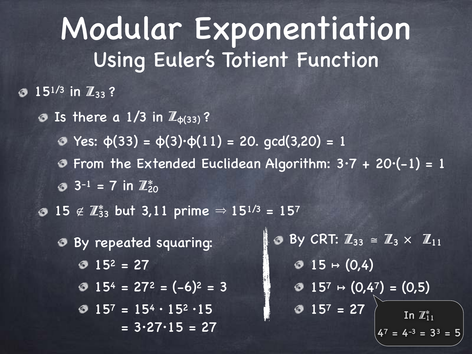#### $\odot$  15<sup>1/3</sup> in  $\mathbb{Z}_{33}$ ?

- **3** Is there a  $1/3$  in  $\mathbb{Z}_{\phi(33)}$ ?
	- Yes: φ(33) = φ(3)·φ(11) = 20. gcd(3,20) = 1
	- **O** From the Extended Euclidean Algorithm:  $3 \cdot 7 + 20 \cdot (-1) = 1$
	- $3^{-1}$  = 7 in  $\mathbb{Z}_{20}^*$
- 15 ∉  $\mathbb{Z}_{33}^{*}$  but 3,11 prime  $\Rightarrow$  15<sup>1/3</sup> = 157
	- By repeated squaring:  $0$   $15^2$  = 27  $\bullet$  15<sup>4</sup> = 27<sup>2</sup> =  $(-6)^2$  = 3  $157 = 154 \cdot 152 \cdot 15$  $= 3.27.15 = 27$

 $\bullet$  By CRT:  $\mathbb{Z}_{33} \cong \mathbb{Z}_3 \times \mathbb{Z}_{11}$  $\odot$  15  $\mapsto$  (0,4)  $\odot$  15<sup>7</sup>  $\mapsto$  (0,4<sup>7</sup>) = (0,5)  $0$  157 = 27 In  $\mathbb{Z}_{11}^*$  $4^7 = 4^{-3} = 3^3 = 5$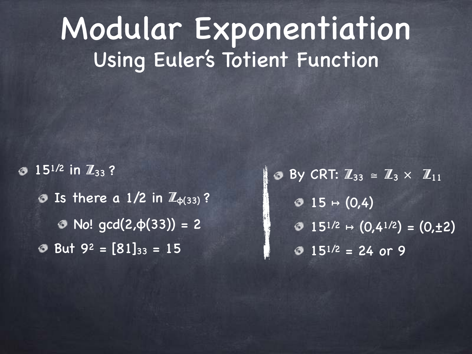15<sup>1/2</sup> in  $\mathbb{Z}_{33}$ ? **O** Is there a  $1/2$  in  $\mathbb{Z}_{\phi(33)}$ ?  $\odot$  No! gcd(2, φ(33)) = 2  $\bullet$  But 9<sup>2</sup> = [81]<sub>33</sub> = 15

By CRT:  $\mathbb{Z}_{33} \cong \mathbb{Z}_3 \times \mathbb{Z}_{11}$  $\odot$  15 → (0,4)  $\odot$  15<sup>1/2</sup>  $\mapsto$  (0,4<sup>1/2</sup>) = (0,±2)  $0.15^{1/2} = 24$  or 9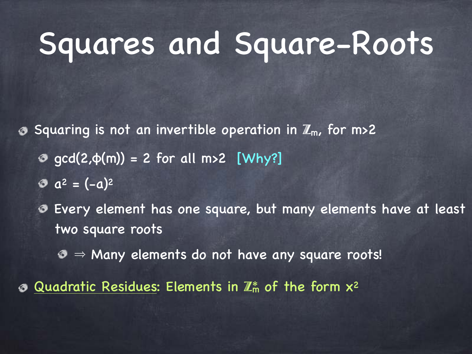# Squares and Square-Roots

Squaring is not an invertible operation in  $\mathbb{Z}_m$ , for m>2 ぁ

- $\odot$  gcd(2, $\phi(m)$ ) = 2 for all m>2 [Why?]
- $a^2 = (-a)^2$
- Every element has one square, but many elements have at least  $\circ$ two square roots
	- $\odot$   $\Rightarrow$  Many elements do not have any square roots!
- Quadratic Residues: Elements in  $\mathbb{Z}_m^*$  of the form  $x^2$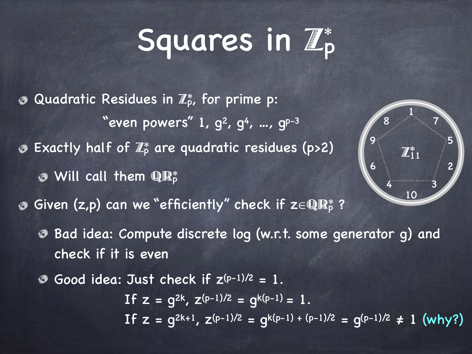# Squares in  $\mathbb{Z}_p^*$

1

 $\mathbb{Z}_1^*$ 11

10

4

8

6

9

5

7

3

2

- $\odot$  Quadratic Residues in  $\mathbb{Z}_p^*$ , for prime p: "even powers"  $1, g<sup>2</sup>, g<sup>4</sup>, ..., g<sup>p-3</sup>$  $\odot$  Exactly half of  $\mathbb{Z}_p^*$  are quadratic residues (p>2) Will call them  $\mathbf{\mathbb{R}}_{\text{p}}^{\ast}$ Given (z,p) can we "efficiently" check if z $\in$ QR $_{\rm p}^*$  ? Bad idea: Compute discrete log (w.r.t. some generator g) and check if it is even
	- Good idea: Just check if  $Z^{(p-1)/2} = 1$ . If  $z = g^{2k}$ ,  $z^{(p-1)/2} = g^{k(p-1)} = 1$ . If  $z = q^{2k+1}$ ,  $z^{(p-1)/2} = q^{k(p-1) + (p-1)/2} = q^{(p-1)/2} \neq 1$  (why?)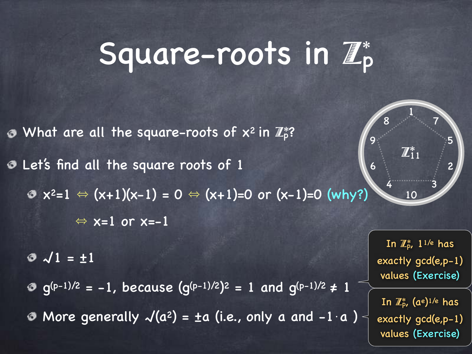# Square-roots in Z\* p

 $\bullet$  What are all the square-roots of  $x^2$  in  $\mathbb{Z}_p^*$ ? Let's find all the square roots of 1  $\bullet x^2=1 \Leftrightarrow (x+1)(x-1) = 0 \Leftrightarrow (x+1)=0 \text{ or } (x-1)=0 \text{ (why?)}$  $\Leftrightarrow$  x=1 or x=-1 6 9

√1 = ±1

 $g^{(p-1)/2} = -1$ , because  $(g^{(p-1)/2})^2 = 1$  and  $g^{(p-1)/2} \neq 1$ • More generally  $\sqrt{(a^2)} = \pm a$  (i.e., only a and -1 $\cdot a$ )

In  $\mathbb{Z}_\mathsf{p}^*$ , 1<sup>1/e</sup> has exactly gcd(e,p-1) values (Exercise)

1

 $\mathbb{Z}_1^*$ 11

10

4

8

5

7

3

2

In  $\mathbb{Z}_p^*$ , (a<code>e</code>) $^{1/e}$  has exactly gcd(e,p-1) values (Exercise)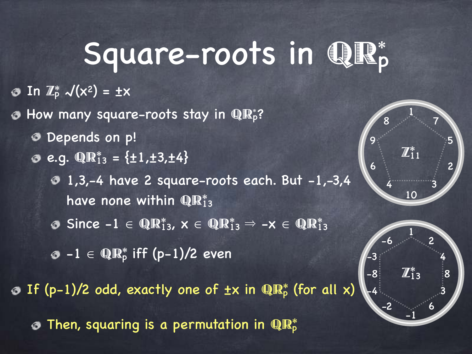# Square-roots in QR\*

In  $\mathbb{Z}_p^*$   $\mathcal{N}(x^2) = \pm x$ 

How many square-roots stay in  $\mathbf{QR}^*_p$ ? ◈

- Depends on p!
- e.g.  $\mathbb{Q} \mathbb{R}^*_{13} = \{\pm 1, \pm 3, \pm 4\}$

 $\overline{0}$  1,3,-4 have 2 square-roots each. But  $-1$ ,-3,4 have none within  $\mathbf{Q}\mathbf{R}^*_{13}$ 

Since  $-1 \in \mathbb{QR}_{13}^{*}, x \in \mathbb{QR}_{13}^{*} \Rightarrow -x \in \mathbb{QR}_{13}^{*}$ 

 $-1$   $\in$  QR<sup>\*</sup> iff (p-1)/2 even

If (p-1)/2 odd, exactly one of  $\pm x$  in  $\mathbb{QR}_p^*$  (for all x)

Then, squaring is a permutation in  $\mathbf{QR}^*_\mathsf{P}$ 



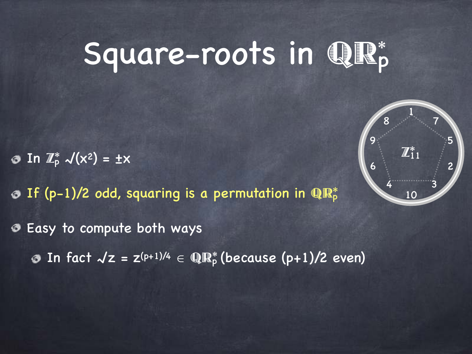# Square-roots in QR\*

In  $\mathbb{Z}_p^*$   $\mathcal{N}(x^2) = \pm x$ 

If (p-1)/2 odd, squaring is a permutation in  $\mathbb{R}^*_p$ 

Easy to compute both ways

In fact  $\sqrt{z} = z^{(p+1)/4} \in \mathbb{QR}_p^*$  (because (p+1)/2 even)